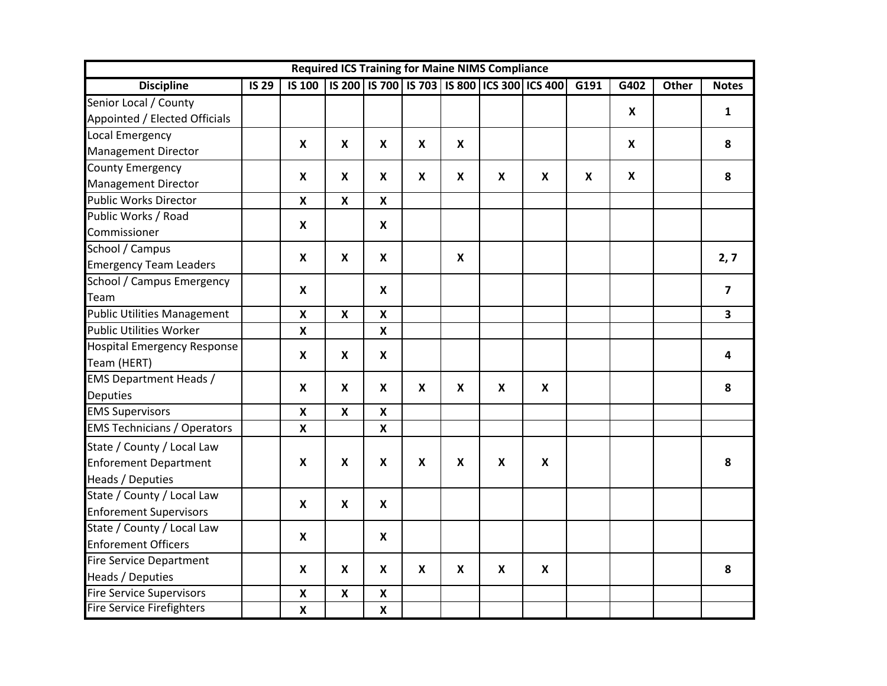| <b>Required ICS Training for Maine NIMS Compliance</b> |                           |                           |                           |                           |                           |                           |                           |                                                                |                           |                           |       |                         |
|--------------------------------------------------------|---------------------------|---------------------------|---------------------------|---------------------------|---------------------------|---------------------------|---------------------------|----------------------------------------------------------------|---------------------------|---------------------------|-------|-------------------------|
| <b>Discipline</b>                                      | <b>IS 29</b>              |                           |                           |                           |                           |                           |                           | IS 100   IS 200   IS 700   IS 703   IS 800   ICS 300   ICS 400 | G191                      | G402                      | Other | <b>Notes</b>            |
| Senior Local / County                                  |                           |                           |                           |                           |                           |                           |                           |                                                                |                           | $\boldsymbol{\mathsf{x}}$ |       | $\mathbf{1}$            |
| Appointed / Elected Officials                          |                           |                           |                           |                           |                           |                           |                           |                                                                |                           |                           |       |                         |
| Local Emergency                                        |                           | $\boldsymbol{\mathsf{X}}$ | $\boldsymbol{x}$          | $\boldsymbol{\mathsf{x}}$ | $\boldsymbol{\mathsf{x}}$ | $\boldsymbol{\mathsf{X}}$ |                           |                                                                |                           | X                         |       | 8                       |
| <b>Management Director</b>                             |                           |                           |                           |                           |                           |                           |                           |                                                                |                           |                           |       |                         |
| <b>County Emergency</b>                                |                           | X                         | X                         | X                         | X                         | X                         | X                         | X                                                              | $\boldsymbol{\mathsf{X}}$ | X                         |       | 8                       |
| <b>Management Director</b>                             |                           |                           |                           |                           |                           |                           |                           |                                                                |                           |                           |       |                         |
| Public Works Director                                  |                           | $\boldsymbol{\mathsf{x}}$ | $\boldsymbol{x}$          | $\boldsymbol{x}$          |                           |                           |                           |                                                                |                           |                           |       |                         |
| Public Works / Road                                    |                           | $\pmb{\mathsf{X}}$        |                           | X                         |                           |                           |                           |                                                                |                           |                           |       |                         |
| Commissioner                                           |                           |                           |                           |                           |                           |                           |                           |                                                                |                           |                           |       |                         |
| School / Campus                                        |                           | $\boldsymbol{\mathsf{X}}$ | $\boldsymbol{\mathsf{X}}$ | $\boldsymbol{\mathsf{x}}$ |                           | $\boldsymbol{\mathsf{x}}$ |                           |                                                                |                           |                           |       | 2,7                     |
| <b>Emergency Team Leaders</b>                          |                           |                           |                           |                           |                           |                           |                           |                                                                |                           |                           |       |                         |
| School / Campus Emergency                              |                           | $\pmb{\mathsf{X}}$        |                           | $\mathbf{x}$              |                           |                           |                           |                                                                |                           |                           |       | $\overline{7}$          |
| Team                                                   |                           |                           |                           |                           |                           |                           |                           |                                                                |                           |                           |       |                         |
| <b>Public Utilities Management</b>                     |                           | $\pmb{\mathsf{X}}$        | $\boldsymbol{\mathsf{x}}$ | $\pmb{\chi}$              |                           |                           |                           |                                                                |                           |                           |       | $\overline{\mathbf{3}}$ |
| <b>Public Utilities Worker</b>                         |                           | $\pmb{\mathsf{X}}$        |                           | $\boldsymbol{\mathsf{x}}$ |                           |                           |                           |                                                                |                           |                           |       |                         |
| <b>Hospital Emergency Response</b>                     |                           | X                         | $\boldsymbol{x}$          | X                         |                           |                           |                           |                                                                |                           |                           |       | $\overline{\mathbf{4}}$ |
| Team (HERT)                                            |                           |                           |                           |                           |                           |                           |                           |                                                                |                           |                           |       |                         |
| <b>EMS Department Heads /</b>                          |                           | X                         | $\boldsymbol{x}$          | $\mathbf{x}$              | X                         | X                         | $\boldsymbol{\mathsf{X}}$ | X                                                              |                           |                           |       | 8                       |
| <b>Deputies</b>                                        |                           |                           |                           |                           |                           |                           |                           |                                                                |                           |                           |       |                         |
| <b>EMS Supervisors</b>                                 |                           | $\pmb{\mathsf{X}}$        | $\boldsymbol{x}$          | $\boldsymbol{\mathsf{x}}$ |                           |                           |                           |                                                                |                           |                           |       |                         |
| <b>EMS Technicians / Operators</b>                     |                           | $\pmb{\mathsf{X}}$        |                           | $\boldsymbol{\mathsf{x}}$ |                           |                           |                           |                                                                |                           |                           |       |                         |
| State / County / Local Law                             |                           |                           |                           |                           |                           |                           |                           |                                                                |                           |                           |       |                         |
| <b>Enforement Department</b>                           | $\boldsymbol{\mathsf{X}}$ | X                         | $\mathbf{x}$              | X                         | X                         | $\boldsymbol{\mathsf{X}}$ | X                         |                                                                |                           |                           | 8     |                         |
| Heads / Deputies                                       |                           |                           |                           |                           |                           |                           |                           |                                                                |                           |                           |       |                         |
| State / County / Local Law                             |                           |                           |                           |                           |                           |                           |                           |                                                                |                           |                           |       |                         |
| <b>Enforement Supervisors</b>                          |                           | $\boldsymbol{\mathsf{X}}$ | $\boldsymbol{x}$          | $\boldsymbol{\mathsf{x}}$ |                           |                           |                           |                                                                |                           |                           |       |                         |
| State / County / Local Law                             |                           | X                         |                           | $\mathbf{x}$              |                           |                           |                           |                                                                |                           |                           |       |                         |
| <b>Enforement Officers</b>                             |                           |                           |                           |                           |                           |                           |                           |                                                                |                           |                           |       |                         |
| <b>Fire Service Department</b>                         |                           | X                         | X                         | X                         | X                         | X                         | $\boldsymbol{\mathsf{X}}$ | $\boldsymbol{\mathsf{X}}$                                      |                           |                           |       | 8                       |
| Heads / Deputies                                       |                           |                           |                           |                           |                           |                           |                           |                                                                |                           |                           |       |                         |
| Fire Service Supervisors                               |                           | $\pmb{\mathsf{X}}$        | $\boldsymbol{\mathsf{x}}$ | $\boldsymbol{\mathsf{x}}$ |                           |                           |                           |                                                                |                           |                           |       |                         |
| <b>Fire Service Firefighters</b>                       |                           | $\pmb{\mathsf{X}}$        |                           | $\boldsymbol{\mathsf{x}}$ |                           |                           |                           |                                                                |                           |                           |       |                         |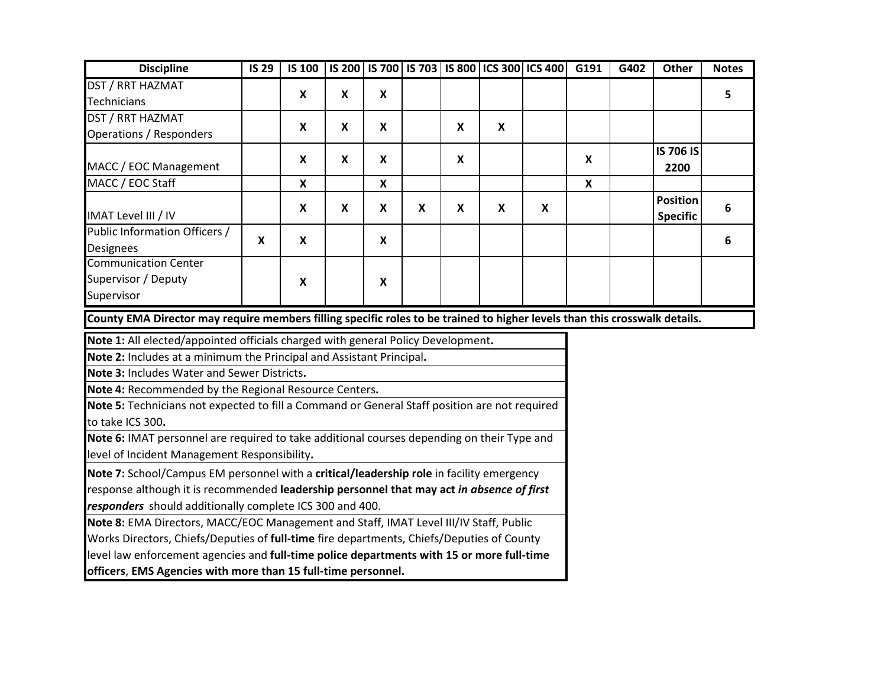| <b>Discipline</b>                                                                                                          | <b>IS 29</b> |                           |                           |                           |             |                           |                           | IS 100   IS 200   IS 700   IS 703   IS 800   ICS 300   ICS 400 | G191                      | G402 | Other                              | <b>Notes</b> |
|----------------------------------------------------------------------------------------------------------------------------|--------------|---------------------------|---------------------------|---------------------------|-------------|---------------------------|---------------------------|----------------------------------------------------------------|---------------------------|------|------------------------------------|--------------|
| DST / RRT HAZMAT                                                                                                           |              | $\mathsf{x}$              | $\mathbf{x}$              | $\mathsf{x}$              |             |                           |                           |                                                                |                           |      |                                    | 5            |
| <b>Technicians</b>                                                                                                         |              |                           |                           |                           |             |                           |                           |                                                                |                           |      |                                    |              |
| DST / RRT HAZMAT                                                                                                           |              | $\boldsymbol{\mathsf{x}}$ | X                         | X                         |             | $\boldsymbol{\mathsf{x}}$ | $\boldsymbol{\mathsf{x}}$ |                                                                |                           |      |                                    |              |
| Operations / Responders                                                                                                    |              |                           |                           |                           |             |                           |                           |                                                                |                           |      |                                    |              |
|                                                                                                                            |              | X                         | X                         | X                         |             | X                         |                           |                                                                | X                         |      | <b>IS 706 IS</b>                   |              |
| MACC / EOC Management                                                                                                      |              |                           |                           |                           |             |                           |                           |                                                                |                           |      | 2200                               |              |
| MACC / EOC Staff                                                                                                           |              | $\boldsymbol{\mathsf{X}}$ |                           | $\boldsymbol{\mathsf{x}}$ |             |                           |                           |                                                                | $\boldsymbol{\mathsf{X}}$ |      |                                    |              |
| IMAT Level III / IV                                                                                                        |              | $\boldsymbol{\mathsf{X}}$ | $\boldsymbol{\mathsf{x}}$ | X                         | $\mathbf x$ | X                         | $\boldsymbol{x}$          | X                                                              |                           |      | <b>Position</b><br><b>Specific</b> | 6            |
| Public Information Officers /                                                                                              |              |                           |                           | $\mathsf{x}$              |             |                           |                           |                                                                |                           |      |                                    |              |
| <b>Designees</b>                                                                                                           | $\mathsf{x}$ | $\boldsymbol{\mathsf{X}}$ |                           |                           |             |                           |                           |                                                                |                           |      |                                    | 6            |
| <b>Communication Center</b>                                                                                                |              |                           |                           |                           |             |                           |                           |                                                                |                           |      |                                    |              |
| Supervisor / Deputy                                                                                                        |              | $\boldsymbol{\mathsf{X}}$ |                           | $\mathsf{x}$              |             |                           |                           |                                                                |                           |      |                                    |              |
| Supervisor                                                                                                                 |              |                           |                           |                           |             |                           |                           |                                                                |                           |      |                                    |              |
| County EMA Director may require members filling specific roles to be trained to higher levels than this crosswalk details. |              |                           |                           |                           |             |                           |                           |                                                                |                           |      |                                    |              |
| Note 1: All elected/appointed officials charged with general Policy Development.                                           |              |                           |                           |                           |             |                           |                           |                                                                |                           |      |                                    |              |
| Note 2: Includes at a minimum the Principal and Assistant Principal.                                                       |              |                           |                           |                           |             |                           |                           |                                                                |                           |      |                                    |              |
| Note 3: Includes Water and Sewer Districts.                                                                                |              |                           |                           |                           |             |                           |                           |                                                                |                           |      |                                    |              |
| Note 4: Recommended by the Regional Resource Centers.                                                                      |              |                           |                           |                           |             |                           |                           |                                                                |                           |      |                                    |              |
| Note 5: Technicians not expected to fill a Command or General Staff position are not required                              |              |                           |                           |                           |             |                           |                           |                                                                |                           |      |                                    |              |
| to take ICS 300.                                                                                                           |              |                           |                           |                           |             |                           |                           |                                                                |                           |      |                                    |              |
| Note 6: IMAT personnel are required to take additional courses depending on their Type and                                 |              |                           |                           |                           |             |                           |                           |                                                                |                           |      |                                    |              |
| level of Incident Management Responsibility.                                                                               |              |                           |                           |                           |             |                           |                           |                                                                |                           |      |                                    |              |
| Note 7: School/Campus EM personnel with a critical/leadership role in facility emergency                                   |              |                           |                           |                           |             |                           |                           |                                                                |                           |      |                                    |              |
| response although it is recommended leadership personnel that may act in absence of first                                  |              |                           |                           |                           |             |                           |                           |                                                                |                           |      |                                    |              |
| responders should additionally complete ICS 300 and 400.                                                                   |              |                           |                           |                           |             |                           |                           |                                                                |                           |      |                                    |              |
| Note 8: EMA Directors, MACC/EOC Management and Staff, IMAT Level III/IV Staff, Public                                      |              |                           |                           |                           |             |                           |                           |                                                                |                           |      |                                    |              |
| Works Directors, Chiefs/Deputies of full-time fire departments, Chiefs/Deputies of County                                  |              |                           |                           |                           |             |                           |                           |                                                                |                           |      |                                    |              |
| level law enforcement agencies and full-time police departments with 15 or more full-time                                  |              |                           |                           |                           |             |                           |                           |                                                                |                           |      |                                    |              |
| officers, EMS Agencies with more than 15 full-time personnel.                                                              |              |                           |                           |                           |             |                           |                           |                                                                |                           |      |                                    |              |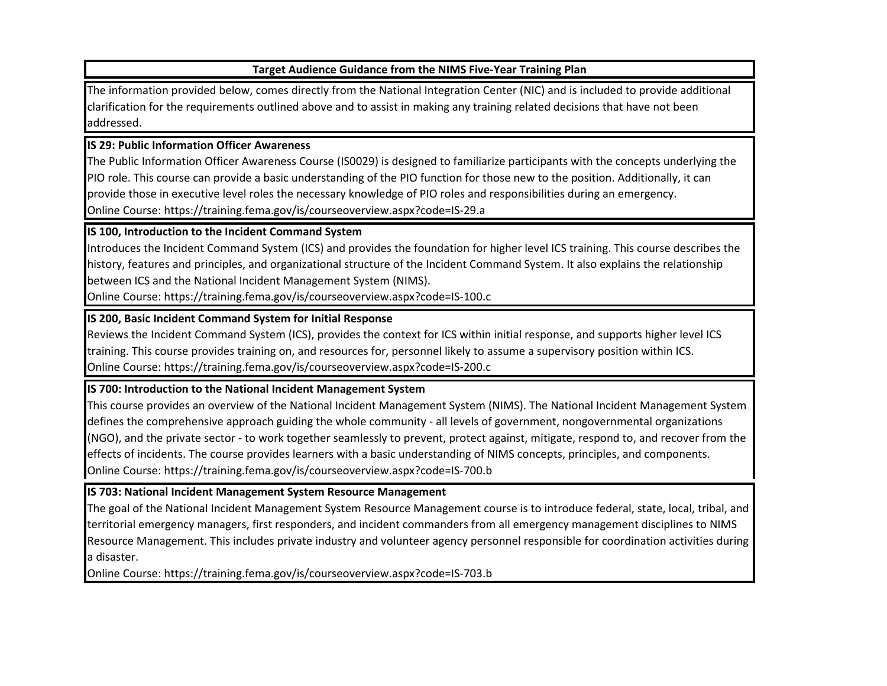## **Target Audience Guidance from the NIMS Five-Year Training Plan**

The information provided below, comes directly from the National Integration Center (NIC) and is included to provide additional clarification for the requirements outlined above and to assist in making any training related decisions that have not been addressed.

### **IS 29: Public Information Officer Awareness**

The Public Information Officer Awareness Course (IS0029) is designed to familiarize participants with the concepts underlying the PIO role. This course can provide a basic understanding of the PIO function for those new to the position. Additionally, it can provide those in executive level roles the necessary knowledge of PIO roles and responsibilities during an emergency. Online Course: https://training.fema.gov/is/courseoverview.aspx?code=IS-29.a

## **IS 100, Introduction to the Incident Command System**

Introduces the Incident Command System (ICS) and provides the foundation for higher level ICS training. This course describes the history, features and principles, and organizational structure of the Incident Command System. It also explains the relationship between ICS and the National Incident Management System (NIMS).

Online Course: https://training.fema.gov/is/courseoverview.aspx?code=IS-100.c

## **IS 200, Basic Incident Command System for Initial Response**

Reviews the Incident Command System (ICS), provides the context for ICS within initial response, and supports higher level ICS training. This course provides training on, and resources for, personnel likely to assume a supervisory position within ICS. Online Course: https://training.fema.gov/is/courseoverview.aspx?code=IS-200.c

## **IS 700: Introduction to the National Incident Management System**

This course provides an overview of the National Incident Management System (NIMS). The National Incident Management System defines the comprehensive approach guiding the whole community - all levels of government, nongovernmental organizations (NGO), and the private sector - to work together seamlessly to prevent, protect against, mitigate, respond to, and recover from the effects of incidents. The course provides learners with a basic understanding of NIMS concepts, principles, and components. Online Course: https://training.fema.gov/is/courseoverview.aspx?code=IS-700.b

# **IS 703: National Incident Management System Resource Management**

The goal of the National Incident Management System Resource Management course is to introduce federal, state, local, tribal, and territorial emergency managers, first responders, and incident commanders from all emergency management disciplines to NIMS Resource Management. This includes private industry and volunteer agency personnel responsible for coordination activities during a disaster.

Online Course: https://training.fema.gov/is/courseoverview.aspx?code=IS-703.b